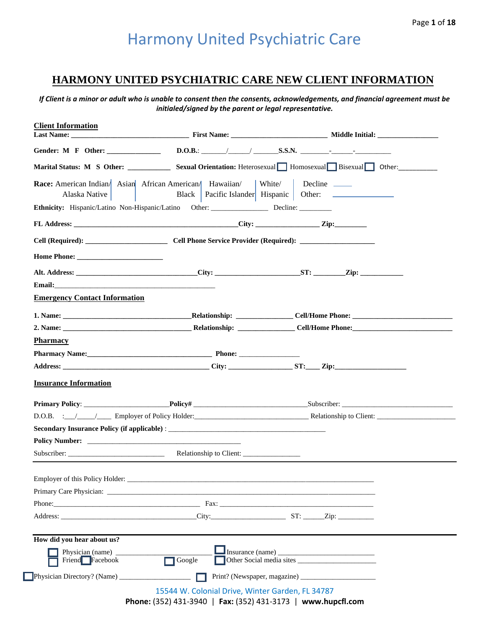## **HARMONY UNITED PSYCHIATRIC CARE NEW CLIENT INFORMATION**

*If Client is a minor or adult who is unable to consent then the consents, acknowledgements, and financial agreement must be initialed/signed by the parent or legal representative.*

|                                                                                                                                                                                                                                |                                                                                        | Marital Status: M S Other: Sexual Orientation: Heterosexual Homosexual Bisexual Other: |
|--------------------------------------------------------------------------------------------------------------------------------------------------------------------------------------------------------------------------------|----------------------------------------------------------------------------------------|----------------------------------------------------------------------------------------|
| Alaska Native                                                                                                                                                                                                                  | <b>Race:</b> American Indian Asian African American Hawaiian White Decline ___________ | Black   Pacific Islander   Hispanic   Other:                                           |
|                                                                                                                                                                                                                                | Ethnicity: Hispanic/Latino Non-Hispanic/Latino Other: Decline: Decline: Decline:       |                                                                                        |
|                                                                                                                                                                                                                                | FL Address: <u>City:</u> Zip:                                                          |                                                                                        |
|                                                                                                                                                                                                                                |                                                                                        |                                                                                        |
| Home Phone:                                                                                                                                                                                                                    |                                                                                        |                                                                                        |
|                                                                                                                                                                                                                                |                                                                                        |                                                                                        |
| Email: the contract of the contract of the contract of the contract of the contract of the contract of the contract of the contract of the contract of the contract of the contract of the contract of the contract of the con |                                                                                        |                                                                                        |
| <b>Emergency Contact Information</b>                                                                                                                                                                                           |                                                                                        |                                                                                        |
|                                                                                                                                                                                                                                |                                                                                        |                                                                                        |
|                                                                                                                                                                                                                                |                                                                                        |                                                                                        |
| <b>Pharmacy</b>                                                                                                                                                                                                                |                                                                                        |                                                                                        |
|                                                                                                                                                                                                                                |                                                                                        |                                                                                        |
|                                                                                                                                                                                                                                |                                                                                        |                                                                                        |
| <b>Insurance Information</b>                                                                                                                                                                                                   |                                                                                        |                                                                                        |
|                                                                                                                                                                                                                                |                                                                                        |                                                                                        |
|                                                                                                                                                                                                                                |                                                                                        |                                                                                        |
|                                                                                                                                                                                                                                | <b>Secondary Insurance Policy (if applicable)</b> :                                    |                                                                                        |
|                                                                                                                                                                                                                                |                                                                                        |                                                                                        |
|                                                                                                                                                                                                                                |                                                                                        |                                                                                        |
|                                                                                                                                                                                                                                |                                                                                        |                                                                                        |
|                                                                                                                                                                                                                                | Primary Care Physician:                                                                |                                                                                        |
|                                                                                                                                                                                                                                |                                                                                        |                                                                                        |
|                                                                                                                                                                                                                                |                                                                                        |                                                                                        |
|                                                                                                                                                                                                                                |                                                                                        |                                                                                        |
| How did you hear about us?                                                                                                                                                                                                     |                                                                                        |                                                                                        |
| Physician (name) _<br>Friend Facebook                                                                                                                                                                                          | Google                                                                                 |                                                                                        |
|                                                                                                                                                                                                                                |                                                                                        |                                                                                        |
|                                                                                                                                                                                                                                |                                                                                        |                                                                                        |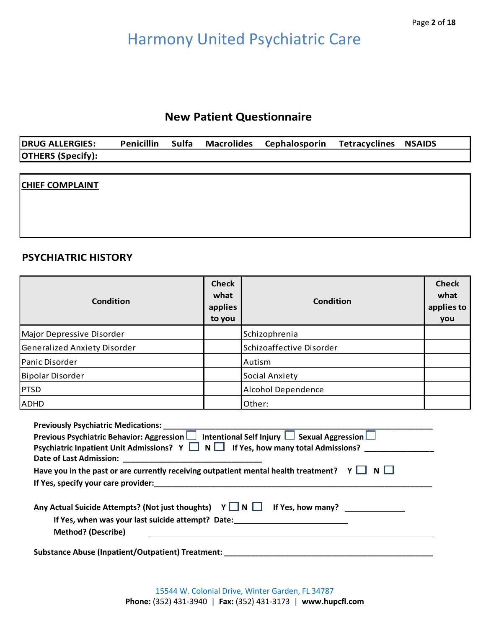## **New Patient Questionnaire**

| <b>DRUG ALLERGIES:</b>   | <b>Penicillin</b> | Sulfa | <b>Macrolides</b> | <b>Cephalosporin</b> | <b>Tetracyclines NSAIDS</b> |  |
|--------------------------|-------------------|-------|-------------------|----------------------|-----------------------------|--|
| <b>OTHERS (Specify):</b> |                   |       |                   |                      |                             |  |

### **CHIEF COMPLAINT**

### **PSYCHIATRIC HISTORY**

| Condition                    | <b>Check</b><br>what<br>applies<br>to you | Condition                | <b>Check</b><br>what<br>applies to<br>you |
|------------------------------|-------------------------------------------|--------------------------|-------------------------------------------|
| Major Depressive Disorder    |                                           | Schizophrenia            |                                           |
| Generalized Anxiety Disorder |                                           | Schizoaffective Disorder |                                           |
| Panic Disorder               |                                           | Autism                   |                                           |
| Bipolar Disorder             |                                           | <b>Social Anxiety</b>    |                                           |
| PTSD                         | Alcohol Dependence                        |                          |                                           |
| ADHD                         |                                           | Other:                   |                                           |

| Previous Psychiatric Behavior: Aggression $\Box$ Intentional Self Injury $\Box$ Sexual Aggression $\Box$                                                                      |
|-------------------------------------------------------------------------------------------------------------------------------------------------------------------------------|
| Psychiatric Inpatient Unit Admissions? $Y \square N \square$ If Yes, how many total Admissions?                                                                               |
|                                                                                                                                                                               |
| Have you in the past or are currently receiving outpatient mental health treatment? $Y \Box$                                                                                  |
|                                                                                                                                                                               |
| Any Actual Suicide Attempts? (Not just thoughts) $Y \square N \square$<br>If Yes, how many?<br>If Yes, when was your last suicide attempt? Date:<br><b>Method? (Describe)</b> |
| Substance Abuse (Inpatient/Outpatient) Treatment:                                                                                                                             |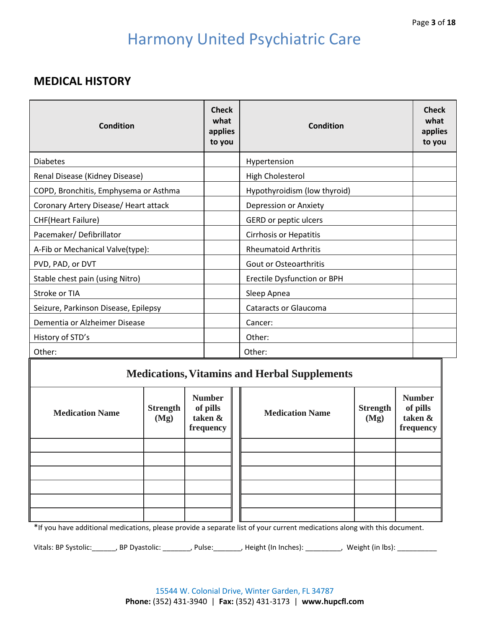## **MEDICAL HISTORY**

| Condition                             | <b>Check</b><br>what<br>applies<br>to you | Condition                     | <b>Check</b><br>what<br>applies<br>to you |
|---------------------------------------|-------------------------------------------|-------------------------------|-------------------------------------------|
| <b>Diabetes</b>                       |                                           | Hypertension                  |                                           |
| Renal Disease (Kidney Disease)        |                                           | High Cholesterol              |                                           |
| COPD, Bronchitis, Emphysema or Asthma |                                           | Hypothyroidism (low thyroid)  |                                           |
| Coronary Artery Disease/ Heart attack |                                           | Depression or Anxiety         |                                           |
| <b>CHF(Heart Failure)</b>             |                                           | GERD or peptic ulcers         |                                           |
| Pacemaker/Defibrillator               |                                           | <b>Cirrhosis or Hepatitis</b> |                                           |
| A-Fib or Mechanical Valve(type):      |                                           | <b>Rheumatoid Arthritis</b>   |                                           |
| PVD, PAD, or DVT                      |                                           | Gout or Osteoarthritis        |                                           |
| Stable chest pain (using Nitro)       |                                           | Erectile Dysfunction or BPH   |                                           |
| Stroke or TIA                         |                                           | Sleep Apnea                   |                                           |
| Seizure, Parkinson Disease, Epilepsy  |                                           | <b>Cataracts or Glaucoma</b>  |                                           |
| Dementia or Alzheimer Disease         |                                           | Cancer:                       |                                           |
| History of STD's                      |                                           | Other:                        |                                           |
| Other:                                |                                           | Other:                        |                                           |

## **Medications,Vitamins and Herbal Supplements**

| <b>Medication Name</b> | <b>Strength</b><br>(Mg) | <b>Number</b><br>of pills<br>taken &<br>frequency | <b>Medication Name</b> | <b>Strength</b><br>(Mg) | <b>Number</b><br>of pills<br>taken &<br>frequency |
|------------------------|-------------------------|---------------------------------------------------|------------------------|-------------------------|---------------------------------------------------|
|                        |                         |                                                   |                        |                         |                                                   |
|                        |                         |                                                   |                        |                         |                                                   |
|                        |                         |                                                   |                        |                         |                                                   |
|                        |                         |                                                   |                        |                         |                                                   |
|                        |                         |                                                   |                        |                         |                                                   |
|                        |                         |                                                   |                        |                         |                                                   |

\*If you have additional medications, please provide a separate list of your current medications along with this document.

Vitals: BP Systolic: \_\_\_\_\_\_, BP Dyastolic: \_\_\_\_\_\_\_, Pulse: \_\_\_\_\_\_\_, Height (In Inches): \_\_\_\_\_\_\_\_, Weight (in lbs): \_\_\_\_\_\_\_\_\_\_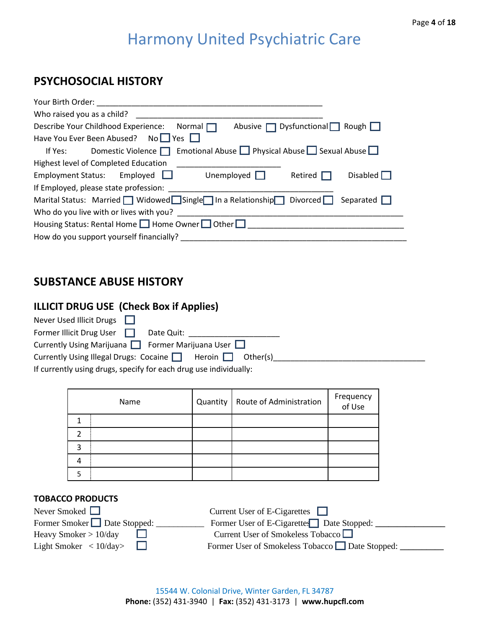## **PSYCHOSOCIAL HISTORY**

| Your Birth Order:                                                                                                        |
|--------------------------------------------------------------------------------------------------------------------------|
| Who raised you as a child?                                                                                               |
| Abusive $\Box$ Dysfunctional $\Box$ Rough $\Box$<br>Describe Your Childhood Experience:<br>Normal $\Box$                 |
| Have You Ever Been Abused? No□ Yes □                                                                                     |
| If Yes: Domestic Violence $\Box$ Emotional Abuse $\Box$ Physical Abuse $\Box$ Sexual Abuse $\Box$                        |
| Highest level of Completed Education                                                                                     |
| Employment Status: Employed $\Box$<br>Unemployed $\Box$<br>Disabled $\Box$<br>Retired                                    |
| If Employed, please state profession:                                                                                    |
| Marital Status: Married $\Box$ Widowed $\Box$ Single $\Box$ In a Relationship $\Box$ Divorced $\Box$<br>Separated $\Box$ |
| Who do you live with or lives with you?                                                                                  |
| Housing Status: Rental Home 1 Home Owner 1 Other                                                                         |
| How do you support yourself financially?                                                                                 |

## **SUBSTANCE ABUSE HISTORY**

## **ILLICIT DRUG USE (Check Box if Applies)**

| Never Used Illicit Drugs $\Box$                                   |
|-------------------------------------------------------------------|
| Former Illicit Drug User $\Box$<br>Date Quit:                     |
| Currently Using Marijuana $\Box$ Former Marijuana User $\Box$     |
| Currently Using Illegal Drugs: Cocaine   Heroin   Other(s)        |
| If currently using drugs, specify for each drug use individually: |

|   | Name | Quantity | Route of Administration | Frequency<br>of Use |
|---|------|----------|-------------------------|---------------------|
|   |      |          |                         |                     |
|   |      |          |                         |                     |
| 3 |      |          |                         |                     |
|   |      |          |                         |                     |
|   |      |          |                         |                     |

### **TOBACCO PRODUCTS**

| Never Smoked $\Box$                          | Current User of E-Cigarettes $\Box$            |
|----------------------------------------------|------------------------------------------------|
| Former Smoker Date Stopped:                  | Former User of E-Cigarettes Date Stopped:      |
| Heavy Smoker $> 10$ /day                     | Current User of Smokeless Tobacco              |
| Light Smoker $\langle 10/\text{day} \rangle$ | Former User of Smokeless Tobacco Date Stopped: |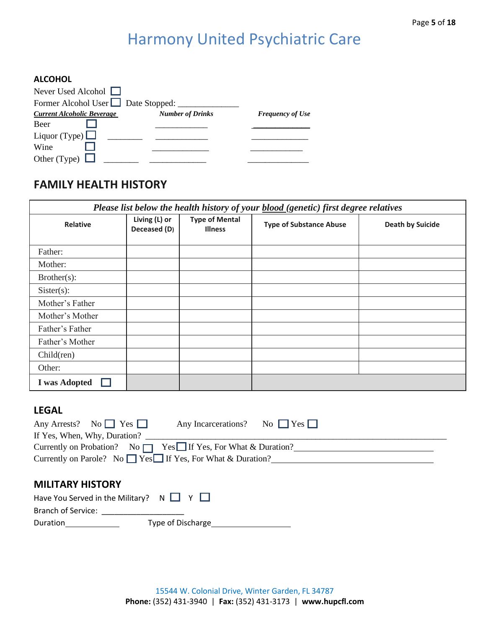#### **ALCOHOL**

| Never Used Alcohol $\Box$           |                         |                         |
|-------------------------------------|-------------------------|-------------------------|
| Former Alcohol User □ Date Stopped: |                         |                         |
| <b>Current Alcoholic Beverage</b>   | <b>Number of Drinks</b> | <b>Frequency of Use</b> |
| <b>Beer</b>                         |                         |                         |
| Liquor (Type) $\Box$                |                         |                         |
| Wine                                |                         |                         |
| Other (Type)                        |                         |                         |

## **FAMILY HEALTH HISTORY**

| Please list below the health history of your <b>blood</b> (genetic) first degree relatives                                                                              |                               |                                                                  |                                |                         |  |
|-------------------------------------------------------------------------------------------------------------------------------------------------------------------------|-------------------------------|------------------------------------------------------------------|--------------------------------|-------------------------|--|
| <b>Relative</b>                                                                                                                                                         | Living (L) or<br>Deceased (D) | <b>Type of Mental</b><br><b>Illness</b>                          | <b>Type of Substance Abuse</b> | <b>Death by Suicide</b> |  |
| Father:                                                                                                                                                                 |                               |                                                                  |                                |                         |  |
| Mother:                                                                                                                                                                 |                               |                                                                  |                                |                         |  |
| Brother(s):                                                                                                                                                             |                               |                                                                  |                                |                         |  |
| $Sister(s)$ :                                                                                                                                                           |                               |                                                                  |                                |                         |  |
| Mother's Father                                                                                                                                                         |                               |                                                                  |                                |                         |  |
| Mother's Mother                                                                                                                                                         |                               |                                                                  |                                |                         |  |
| Father's Father                                                                                                                                                         |                               |                                                                  |                                |                         |  |
| Father's Mother                                                                                                                                                         |                               |                                                                  |                                |                         |  |
| Children)                                                                                                                                                               |                               |                                                                  |                                |                         |  |
| Other:                                                                                                                                                                  |                               |                                                                  |                                |                         |  |
| <b>I</b> was Adopted                                                                                                                                                    |                               |                                                                  |                                |                         |  |
| <b>LEGAL</b><br>$\overline{N_0}$ $\overline{N}$ $\overline{Y}$ $\overline{S}$ $\overline{N}$<br>Any Arrests?<br>If Yes, When, Why, Duration?<br>Currently on Probation? | $No \Box$                     | Any Incarcerations?<br>$Yes \fbox{If Yes, For What & Duration?}$ | No $\Box$ Yes $\Box$           |                         |  |

### **MILITARY HISTORY**

| Have You Served in the Military? $N \Box Y \Box$ |                   |
|--------------------------------------------------|-------------------|
| Branch of Service:                               |                   |
| Duration                                         | Type of Discharge |
|                                                  |                   |

Currently on Parole? No  $\Box$  Yes  $\Box$  If Yes, For What & Duration?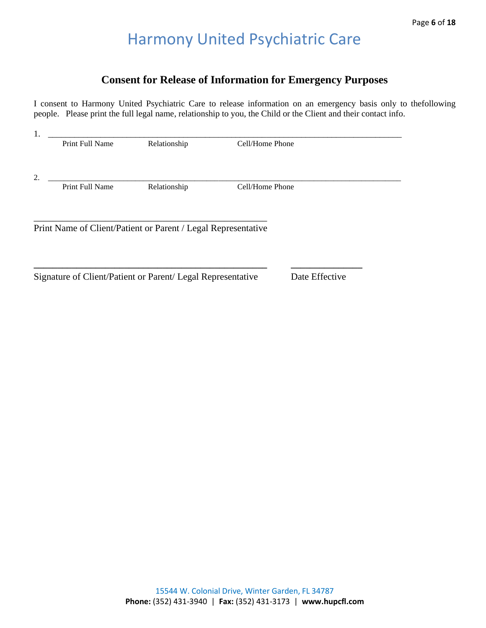## **Consent for Release of Information for Emergency Purposes**

I consent to Harmony United Psychiatric Care to release information on an emergency basis only to thefollowing people. Please print the full legal name, relationship to you, the Child or the Client and their contact info.

| Cell/Home Phone                                               |
|---------------------------------------------------------------|
|                                                               |
|                                                               |
|                                                               |
|                                                               |
| Print Name of Client/Patient or Parent / Legal Representative |
|                                                               |

Signature of Client/Patient or Parent/ Legal Representative Date Effective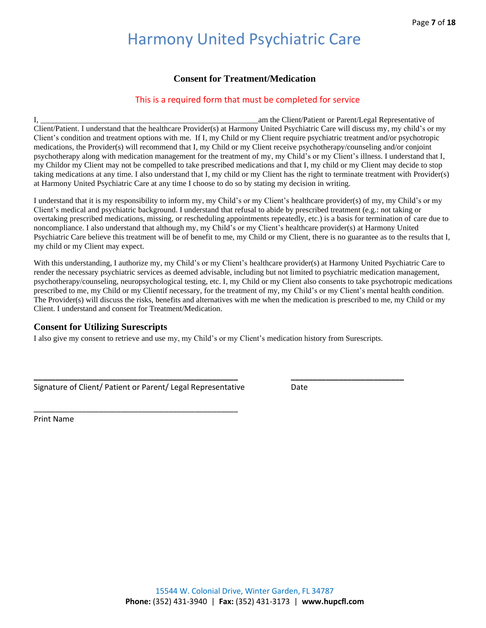### **Consent for Treatment/Medication**

### This is a required form that must be completed for service

I, \_\_\_\_\_\_\_\_\_\_\_\_\_\_\_\_\_\_\_\_\_\_\_\_\_\_\_\_\_\_\_\_\_\_\_\_\_\_\_\_\_\_\_\_\_\_\_\_\_\_\_\_\_\_\_am the Client/Patient or Parent/Legal Representative of Client/Patient. I understand that the healthcare Provider(s) at Harmony United Psychiatric Care will discuss my, my child's or my Client's condition and treatment options with me. If I, my Child or my Client require psychiatric treatment and/or psychotropic medications, the Provider(s) will recommend that I, my Child or my Client receive psychotherapy/counseling and/or conjoint psychotherapy along with medication management for the treatment of my, my Child's or my Client's illness. I understand that I, my Childor my Client may not be compelled to take prescribed medications and that I, my child or my Client may decide to stop taking medications at any time. I also understand that I, my child or my Client has the right to terminate treatment with Provider(s) at Harmony United Psychiatric Care at any time I choose to do so by stating my decision in writing.

I understand that it is my responsibility to inform my, my Child's or my Client's healthcare provider(s) of my, my Child's or my Client's medical and psychiatric background. I understand that refusal to abide by prescribed treatment (e.g.: not taking or overtaking prescribed medications, missing, or rescheduling appointments repeatedly, etc.) is a basis for termination of care due to noncompliance. I also understand that although my, my Child's or my Client's healthcare provider(s) at Harmony United Psychiatric Care believe this treatment will be of benefit to me, my Child or my Client, there is no guarantee as to the results that I, my child or my Client may expect.

With this understanding, I authorize my, my Child's or my Client's healthcare provider(s) at Harmony United Psychiatric Care to render the necessary psychiatric services as deemed advisable, including but not limited to psychiatric medication management, psychotherapy/counseling, neuropsychological testing, etc. I, my Child or my Client also consents to take psychotropic medications prescribed to me, my Child or my Clientif necessary, for the treatment of my, my Child's or my Client's mental health condition. The Provider(s) will discuss the risks, benefits and alternatives with me when the medication is prescribed to me, my Child or my Client. I understand and consent for Treatment/Medication.

### **Consent for Utilizing Surescripts**

I also give my consent to retrieve and use my, my Child's or my Client's medication history from Surescripts.

| Signature of Client/ Patient or Parent/ Legal Representative | Date |
|--------------------------------------------------------------|------|

\_\_\_\_\_\_\_\_\_\_\_\_\_\_\_\_\_\_\_\_\_\_\_\_\_\_\_\_\_\_\_\_\_\_\_\_\_\_\_\_\_\_\_\_\_\_\_

Print Name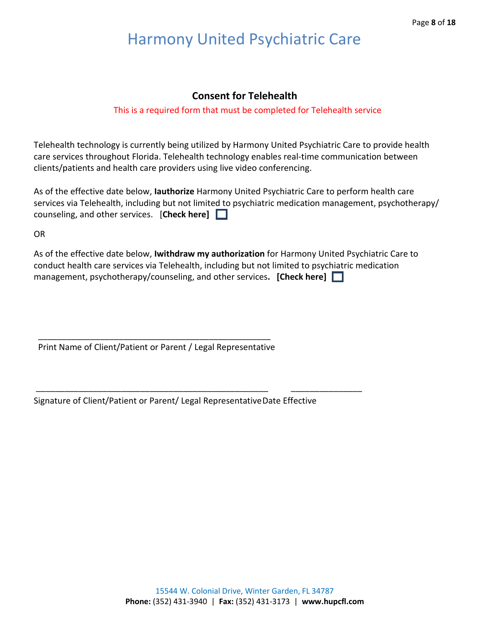### **Consent for Telehealth**

### This is a required form that must be completed for Telehealth service

Telehealth technology is currently being utilized by Harmony United Psychiatric Care to provide health care services throughout Florida. Telehealth technology enables real-time communication between clients/patients and health care providers using live video conferencing.

As of the effective date below, **Iauthorize** Harmony United Psychiatric Care to perform health care services via Telehealth, including but not limited to psychiatric medication management, psychotherapy/ counseling, and other services. [**Check here]** 

OR

As of the effective date below, **Iwithdraw my authorization** for Harmony United Psychiatric Care to conduct health care services via Telehealth, including but not limited to psychiatric medication management, psychotherapy/counseling, and other services**. [Check here]** 

 \_\_\_\_\_\_\_\_\_\_\_\_\_\_\_\_\_\_\_\_\_\_\_\_\_\_\_\_\_\_\_\_\_\_\_\_\_\_\_\_\_\_\_\_\_\_\_\_\_ Print Name of Client/Patient or Parent / Legal Representative

Signature of Client/Patient or Parent/ Legal RepresentativeDate Effective

\_\_\_\_\_\_\_\_\_\_\_\_\_\_\_\_\_\_\_\_\_\_\_\_\_\_\_\_\_\_\_\_\_\_\_\_\_\_\_\_\_\_\_\_\_\_\_\_\_ \_\_\_\_\_\_\_\_\_\_\_\_\_\_\_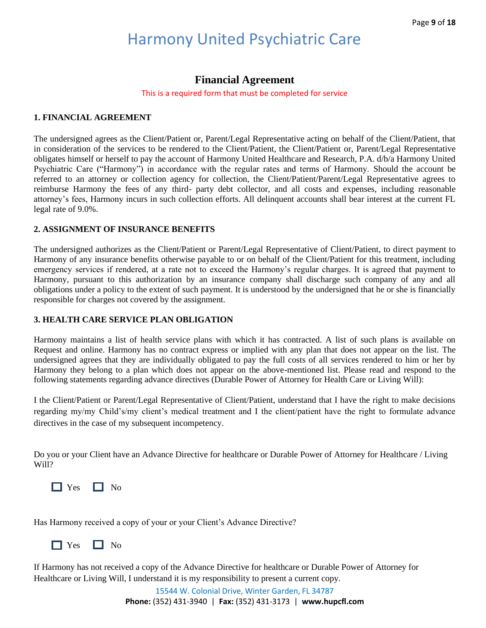## **Financial Agreement**

This is a required form that must be completed for service

### **1. FINANCIAL AGREEMENT**

The undersigned agrees as the Client/Patient or, Parent/Legal Representative acting on behalf of the Client/Patient, that in consideration of the services to be rendered to the Client/Patient, the Client/Patient or, Parent/Legal Representative obligates himself or herself to pay the account of Harmony United Healthcare and Research, P.A. d/b/a Harmony United Psychiatric Care ("Harmony") in accordance with the regular rates and terms of Harmony. Should the account be referred to an attorney or collection agency for collection, the Client/Patient/Parent/Legal Representative agrees to reimburse Harmony the fees of any third- party debt collector, and all costs and expenses, including reasonable attorney's fees, Harmony incurs in such collection efforts. All delinquent accounts shall bear interest at the current FL legal rate of 9.0%.

### **2. ASSIGNMENT OF INSURANCE BENEFITS**

The undersigned authorizes as the Client/Patient or Parent/Legal Representative of Client/Patient, to direct payment to Harmony of any insurance benefits otherwise payable to or on behalf of the Client/Patient for this treatment, including emergency services if rendered, at a rate not to exceed the Harmony's regular charges. It is agreed that payment to Harmony, pursuant to this authorization by an insurance company shall discharge such company of any and all obligations under a policy to the extent of such payment. It is understood by the undersigned that he or she is financially responsible for charges not covered by the assignment.

### **3. HEALTH CARE SERVICE PLAN OBLIGATION**

Harmony maintains a list of health service plans with which it has contracted. A list of such plans is available on Request and online. Harmony has no contract express or implied with any plan that does not appear on the list. The undersigned agrees that they are individually obligated to pay the full costs of all services rendered to him or her by Harmony they belong to a plan which does not appear on the above-mentioned list. Please read and respond to the following statements regarding advance directives (Durable Power of Attorney for Health Care or Living Will):

I the Client/Patient or Parent/Legal Representative of Client/Patient, understand that I have the right to make decisions regarding my/my Child's/my client's medical treatment and I the client/patient have the right to formulate advance directives in the case of my subsequent incompetency.

Do you or your Client have an Advance Directive for healthcare or Durable Power of Attorney for Healthcare / Living Will?



Has Harmony received a copy of your or your Client's Advance Directive?

No No No

If Harmony has not received a copy of the Advance Directive for healthcare or Durable Power of Attorney for Healthcare or Living Will, I understand it is my responsibility to present a current copy.

> 15544 W. Colonial Drive, Winter Garden, FL 34787 **Phone:** (352) 431-3940 | **Fax:** (352) 431-3173 | **www.hupcfl.com**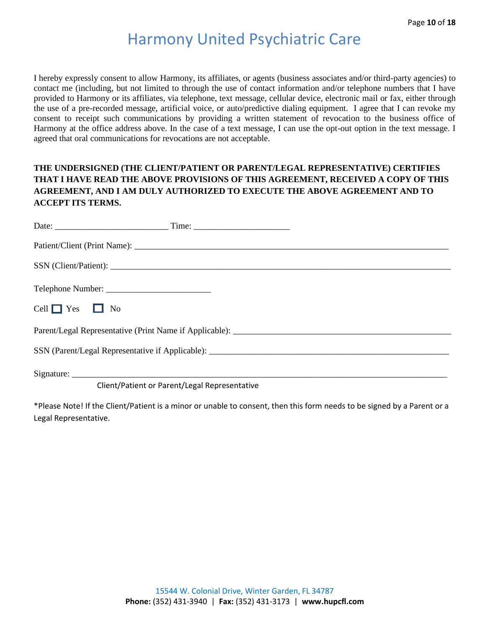I hereby expressly consent to allow Harmony, its affiliates, or agents (business associates and/or third-party agencies) to contact me (including, but not limited to through the use of contact information and/or telephone numbers that I have provided to Harmony or its affiliates, via telephone, text message, cellular device, electronic mail or fax, either through the use of a pre-recorded message, artificial voice, or auto/predictive dialing equipment. I agree that I can revoke my consent to receipt such communications by providing a written statement of revocation to the business office of Harmony at the office address above. In the case of a text message, I can use the opt-out option in the text message. I agreed that oral communications for revocations are not acceptable.

### **THE UNDERSIGNED (THE CLIENT/PATIENT OR PARENT/LEGAL REPRESENTATIVE) CERTIFIES THAT I HAVE READ THE ABOVE PROVISIONS OF THIS AGREEMENT, RECEIVED A COPY OF THIS AGREEMENT, AND I AM DULY AUTHORIZED TO EXECUTE THE ABOVE AGREEMENT AND TO ACCEPT ITS TERMS.**

| Cell $\Box$ Yes $\Box$ No |                                               |  |
|---------------------------|-----------------------------------------------|--|
|                           |                                               |  |
|                           |                                               |  |
|                           |                                               |  |
|                           | Client/Patient or Parent/Legal Representative |  |

\*Please Note! If the Client/Patient is a minor or unable to consent, then this form needs to be signed by a Parent or a Legal Representative.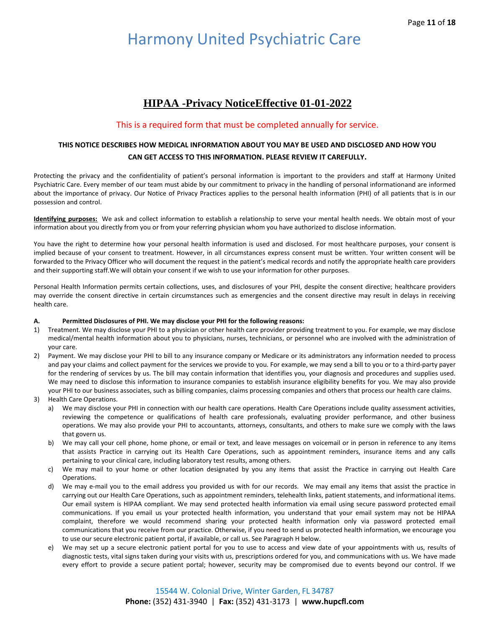## **HIPAA -Privacy NoticeEffective 01-01-2022**

#### This is a required form that must be completed annually for service.

#### **THIS NOTICE DESCRIBES HOW MEDICAL INFORMATION ABOUT YOU MAY BE USED AND DISCLOSED AND HOW YOU CAN GET ACCESS TO THIS INFORMATION. PLEASE REVIEW IT CAREFULLY.**

Protecting the privacy and the confidentiality of patient's personal information is important to the providers and staff at Harmony United Psychiatric Care. Every member of our team must abide by our commitment to privacy in the handling of personal informationand are informed about the importance of privacy. Our Notice of Privacy Practices applies to the personal health information (PHI) of all patients that is in our possession and control.

**Identifying purposes:** We ask and collect information to establish a relationship to serve your mental health needs. We obtain most of your information about you directly from you or from your referring physician whom you have authorized to disclose information.

You have the right to determine how your personal health information is used and disclosed. For most healthcare purposes, your consent is implied because of your consent to treatment. However, in all circumstances express consent must be written. Your written consent will be forwarded to the Privacy Officer who will document the request in the patient's medical records and notify the appropriate health care providers and their supporting staff.We will obtain your consent if we wish to use your information for other purposes.

Personal Health Information permits certain collections, uses, and disclosures of your PHI, despite the consent directive; healthcare providers may override the consent directive in certain circumstances such as emergencies and the consent directive may result in delays in receiving health care.

#### **A. Permitted Disclosures of PHI. We may disclose your PHI for the following reasons:**

- 1) Treatment. We may disclose your PHI to a physician or other health care provider providing treatment to you. For example, we may disclose medical/mental health information about you to physicians, nurses, technicians, or personnel who are involved with the administration of your care.
- 2) Payment. We may disclose your PHI to bill to any insurance company or Medicare or its administrators any information needed to process and pay your claims and collect payment for the services we provide to you. For example, we may send a bill to you or to a third-party payer for the rendering of services by us. The bill may contain information that identifies you, your diagnosis and procedures and supplies used. We may need to disclose this information to insurance companies to establish insurance eligibility benefits for you. We may also provide your PHI to our business associates, such as billing companies, claims processing companies and others that process our health care claims.
- 3) Health Care Operations.
	- a) We may disclose your PHI in connection with our health care operations. Health Care Operations include quality assessment activities, reviewing the competence or qualifications of health care professionals, evaluating provider performance, and other business operations. We may also provide your PHI to accountants, attorneys, consultants, and others to make sure we comply with the laws that govern us.
	- b) We may call your cell phone, home phone, or email or text, and leave messages on voicemail or in person in reference to any items that assists Practice in carrying out its Health Care Operations, such as appointment reminders, insurance items and any calls pertaining to your clinical care, including laboratory test results, among others.
	- c) We may mail to your home or other location designated by you any items that assist the Practice in carrying out Health Care Operations.
	- d) We may e-mail you to the email address you provided us with for our records. We may email any items that assist the practice in carrying out our Health Care Operations, such as appointment reminders, telehealth links, patient statements, and informational items. Our email system is HIPAA compliant. We may send protected health information via email using secure password protected email communications. If you email us your protected health information, you understand that your email system may not be HIPAA complaint, therefore we would recommend sharing your protected health information only via password protected email communications that you receive from our practice. Otherwise, if you need to send us protected health information, we encourage you to use our secure electronic patient portal, if available, or call us. See Paragraph H below.
	- e) We may set up a secure electronic patient portal for you to use to access and view date of your appointments with us, results of diagnostic tests, vital signs taken during your visits with us, prescriptions ordered for you, and communications with us. We have made every effort to provide a secure patient portal; however, security may be compromised due to events beyond our control. If we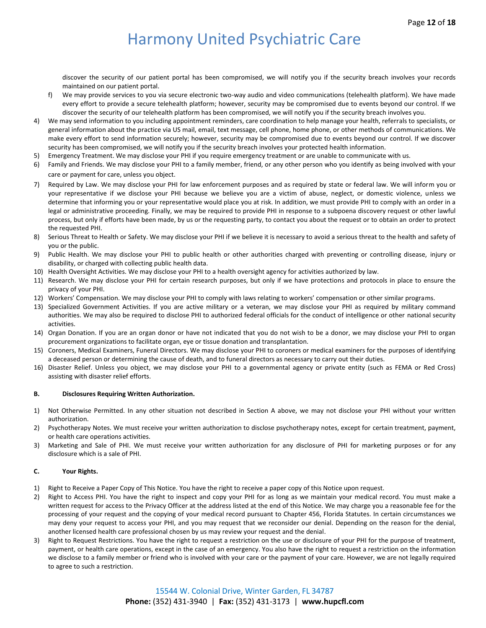discover the security of our patient portal has been compromised, we will notify you if the security breach involves your records maintained on our patient portal.

- f) We may provide services to you via secure electronic two-way audio and video communications (telehealth platform). We have made every effort to provide a secure telehealth platform; however, security may be compromised due to events beyond our control. If we discover the security of our telehealth platform has been compromised, we will notify you if the security breach involves you.
- 4) We may send information to you including appointment reminders, care coordination to help manage your health, referrals to specialists, or general information about the practice via US mail, email, text message, cell phone, home phone, or other methods of communications. We make every effort to send information securely; however, security may be compromised due to events beyond our control. If we discover security has been compromised, we will notify you if the security breach involves your protected health information.
- 5) Emergency Treatment. We may disclose your PHI if you require emergency treatment or are unable to communicate with us.
- 6) Family and Friends. We may disclose your PHI to a family member, friend, or any other person who you identify as being involved with your care or payment for care, unless you object.
- 7) Required by Law. We may disclose your PHI for law enforcement purposes and as required by state or federal law. We will inform you or your representative if we disclose your PHI because we believe you are a victim of abuse, neglect, or domestic violence, unless we determine that informing you or your representative would place you at risk. In addition, we must provide PHI to comply with an order in a legal or administrative proceeding. Finally, we may be required to provide PHI in response to a subpoena discovery request or other lawful process, but only if efforts have been made, by us or the requesting party, to contact you about the request or to obtain an order to protect the requested PHI.
- 8) Serious Threat to Health or Safety. We may disclose your PHI if we believe it is necessary to avoid a serious threat to the health and safety of you or the public.
- 9) Public Health. We may disclose your PHI to public health or other authorities charged with preventing or controlling disease, injury or disability, or charged with collecting public health data.
- 10) Health Oversight Activities. We may disclose your PHI to a health oversight agency for activities authorized by law.
- 11) Research. We may disclose your PHI for certain research purposes, but only if we have protections and protocols in place to ensure the privacy of your PHI.
- 12) Workers' Compensation. We may disclose your PHI to comply with laws relating to workers' compensation or other similar programs.
- 13) Specialized Government Activities. If you are active military or a veteran, we may disclose your PHI as required by military command authorities. We may also be required to disclose PHI to authorized federal officials for the conduct of intelligence or other national security activities.
- 14) Organ Donation. If you are an organ donor or have not indicated that you do not wish to be a donor, we may disclose your PHI to organ procurement organizations to facilitate organ, eye or tissue donation and transplantation.
- 15) Coroners, Medical Examiners, Funeral Directors. We may disclose your PHI to coroners or medical examiners for the purposes of identifying a deceased person or determining the cause of death, and to funeral directors as necessary to carry out their duties.
- 16) Disaster Relief. Unless you object, we may disclose your PHI to a governmental agency or private entity (such as FEMA or Red Cross) assisting with disaster relief efforts.

#### **B. Disclosures Requiring Written Authorization.**

- 1) Not Otherwise Permitted. In any other situation not described in Section A above, we may not disclose your PHI without your written authorization.
- 2) Psychotherapy Notes. We must receive your written authorization to disclose psychotherapy notes, except for certain treatment, payment, or health care operations activities.
- 3) Marketing and Sale of PHI. We must receive your written authorization for any disclosure of PHI for marketing purposes or for any disclosure which is a sale of PHI.

#### **C. Your Rights.**

- 1) Right to Receive a Paper Copy of This Notice. You have the right to receive a paper copy of this Notice upon request.
- 2) Right to Access PHI. You have the right to inspect and copy your PHI for as long as we maintain your medical record. You must make a written request for access to the Privacy Officer at the address listed at the end of this Notice. We may charge you a reasonable fee for the processing of your request and the copying of your medical record pursuant to Chapter 456, Florida Statutes. In certain circumstances we may deny your request to access your PHI, and you may request that we reconsider our denial. Depending on the reason for the denial, another licensed health care professional chosen by us may review your request and the denial.
- 3) Right to Request Restrictions. You have the right to request a restriction on the use or disclosure of your PHI for the purpose of treatment, payment, or health care operations, except in the case of an emergency. You also have the right to request a restriction on the information we disclose to a family member or friend who is involved with your care or the payment of your care. However, we are not legally required to agree to such a restriction.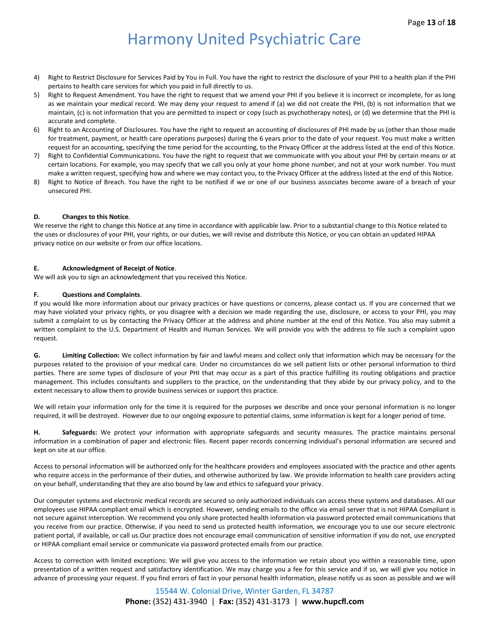- 4) Right to Restrict Disclosure for Services Paid by You in Full. You have the right to restrict the disclosure of your PHI to a health plan if the PHI pertains to health care services for which you paid in full directly to us.
- 5) Right to Request Amendment. You have the right to request that we amend your PHI if you believe it is incorrect or incomplete, for as long as we maintain your medical record. We may deny your request to amend if (a) we did not create the PHI, (b) is not information that we maintain, (c) is not information that you are permitted to inspect or copy (such as psychotherapy notes), or (d) we determine that the PHI is accurate and complete.
- 6) Right to an Accounting of Disclosures. You have the right to request an accounting of disclosures of PHI made by us (other than those made for treatment, payment, or health care operations purposes) during the 6 years prior to the date of your request. You must make a written request for an accounting, specifying the time period for the accounting, to the Privacy Officer at the address listed at the end of this Notice.
- 7) Right to Confidential Communications. You have the right to request that we communicate with you about your PHI by certain means or at certain locations. For example, you may specify that we call you only at your home phone number, and not at your work number. You must make a written request, specifying how and where we may contact you, to the Privacy Officer at the address listed at the end of this Notice.
- 8) Right to Notice of Breach. You have the right to be notified if we or one of our business associates become aware of a breach of your unsecured PHI.

#### **D. Changes to this Notice**.

We reserve the right to change this Notice at any time in accordance with applicable law. Prior to a substantial change to this Notice related to the uses or disclosures of your PHI, your rights, or our duties, we will revise and distribute this Notice, or you can obtain an updated HIPAA privacy notice on our website or from our office locations.

#### **E. Acknowledgment of Receipt of Notice**.

We will ask you to sign an acknowledgment that you received this Notice.

#### **F. Questions and Complaints**.

If you would like more information about our privacy practices or have questions or concerns, please contact us. If you are concerned that we may have violated your privacy rights, or you disagree with a decision we made regarding the use, disclosure, or access to your PHI, you may submit a complaint to us by contacting the Privacy Officer at the address and phone number at the end of this Notice. You also may submit a written complaint to the U.S. Department of Health and Human Services. We will provide you with the address to file such a complaint upon request.

**G. Limiting Collection:** We collect information by fair and lawful means and collect only that information which may be necessary for the purposes related to the provision of your medical care. Under no circumstances do we sell patient lists or other personal information to third parties. There are some types of disclosure of your PHI that may occur as a part of this practice fulfilling its routing obligations and practice management. This includes consultants and suppliers to the practice, on the understanding that they abide by our privacy policy, and to the extent necessary to allow them to provide business services or support this practice.

We will retain your information only for the time it is required for the purposes we describe and once your personal information is no longer required, it will be destroyed. However due to our ongoing exposure to potential claims, some information is kept for a longer period of time.

**H. Safeguards:** We protect your information with appropriate safeguards and security measures. The practice maintains personal information in a combination of paper and electronic files. Recent paper records concerning individual's personal information are secured and kept on site at our office.

Access to personal information will be authorized only for the healthcare providers and employees associated with the practice and other agents who require access in the performance of their duties, and otherwise authorized by law. We provide information to health care providers acting on your behalf, understanding that they are also bound by law and ethics to safeguard your privacy.

Our computer systems and electronic medical records are secured so only authorized individuals can access these systems and databases. All our employees use HIPAA compliant email which is encrypted. However, sending emails to the office via email server that is not HIPAA Compliant is not secure against interception. We recommend you only share protected health information via password protected email communications that you receive from our practice. Otherwise, if you need to send us protected health information, we encourage you to use our secure electronic patient portal, if available, or call us.Our practice does not encourage email communication of sensitive information if you do not, use encrypted or HIPAA compliant email service or communicate via password protected emails from our practice.

Access to correction with limited exceptions: We will give you access to the information we retain about you within a reasonable time, upon presentation of a written request and satisfactory identification. We may charge you a fee for this service and if so, we will give you notice in advance of processing your request. If you find errors of fact in your personal health information, please notify us as soon as possible and we will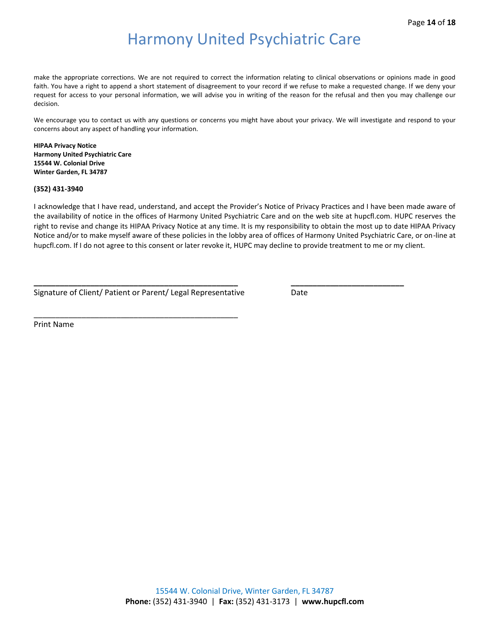make the appropriate corrections. We are not required to correct the information relating to clinical observations or opinions made in good faith. You have a right to append a short statement of disagreement to your record if we refuse to make a requested change. If we deny your request for access to your personal information, we will advise you in writing of the reason for the refusal and then you may challenge our decision.

We encourage you to contact us with any questions or concerns you might have about your privacy. We will investigate and respond to your concerns about any aspect of handling your information.

**HIPAA Privacy Notice Harmony United Psychiatric Care 15544 W. Colonial Drive Winter Garden, FL 34787**

**(352) 431-3940**

I acknowledge that I have read, understand, and accept the Provider's Notice of Privacy Practices and I have been made aware of the availability of notice in the offices of Harmony United Psychiatric Care and on the web site at hupcfl.com. HUPC reserves the right to revise and change its HIPAA Privacy Notice at any time. It is my responsibility to obtain the most up to date HIPAA Privacy Notice and/or to make myself aware of these policies in the lobby area of offices of Harmony United Psychiatric Care, or on-line at hupcfl.com. If I do not agree to this consent or later revoke it, HUPC may decline to provide treatment to me or my client.

**\_\_\_\_\_\_\_\_\_\_\_\_\_\_\_\_\_\_\_\_\_\_\_\_\_\_\_\_\_\_\_\_\_\_\_\_\_\_\_\_\_\_\_\_\_\_\_ \_\_\_\_\_\_\_\_\_\_\_\_\_\_\_\_\_\_\_\_\_\_\_\_\_\_**

Signature of Client/ Patient or Parent/ Legal Representative Date

\_\_\_\_\_\_\_\_\_\_\_\_\_\_\_\_\_\_\_\_\_\_\_\_\_\_\_\_\_\_\_\_\_\_\_\_\_\_\_\_\_\_\_\_\_\_\_

Print Name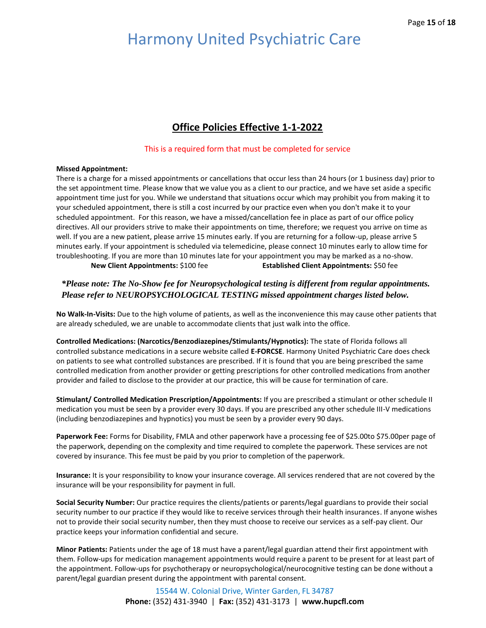## **Office Policies Effective 1-1-2022**

#### This is a required form that must be completed for service

#### **Missed Appointment:**

There is a charge for a missed appointments or cancellations that occur less than 24 hours (or 1 business day) prior to the set appointment time. Please know that we value you as a client to our practice, and we have set aside a specific appointment time just for you. While we understand that situations occur which may prohibit you from making it to your scheduled appointment, there is still a cost incurred by our practice even when you don't make it to your scheduled appointment. For this reason, we have a missed/cancellation fee in place as part of our office policy directives. All our providers strive to make their appointments on time, therefore; we request you arrive on time as well. If you are a new patient, please arrive 15 minutes early. If you are returning for a follow-up, please arrive 5 minutes early. If your appointment is scheduled via telemedicine, please connect 10 minutes early to allow time for troubleshooting. If you are more than 10 minutes late for your appointment you may be marked as a no-show. **New Client Appointments:** \$100 fee **Established Client Appointments:** \$50 fee

### *\*Please note: The No-Show fee for Neuropsychological testing is different from regular appointments. Please refer to NEUROPSYCHOLOGICAL TESTING missed appointment charges listed below.*

**No Walk-In-Visits:** Due to the high volume of patients, as well as the inconvenience this may cause other patients that are already scheduled, we are unable to accommodate clients that just walk into the office.

**Controlled Medications: (Narcotics/Benzodiazepines/Stimulants/Hypnotics):** The state of Florida follows all controlled substance medications in a secure website called **E-FORCSE**. Harmony United Psychiatric Care does check on patients to see what controlled substances are prescribed. If it is found that you are being prescribed the same controlled medication from another provider or getting prescriptions for other controlled medications from another provider and failed to disclose to the provider at our practice, this will be cause for termination of care.

**Stimulant/ Controlled Medication Prescription/Appointments:** If you are prescribed a stimulant or other schedule II medication you must be seen by a provider every 30 days. If you are prescribed any other schedule III-V medications (including benzodiazepines and hypnotics) you must be seen by a provider every 90 days.

Paperwork Fee: Forms for Disability, FMLA and other paperwork have a processing fee of \$25.00to \$75.00per page of the paperwork, depending on the complexity and time required to complete the paperwork. These services are not covered by insurance. This fee must be paid by you prior to completion of the paperwork.

**Insurance:** It is your responsibility to know your insurance coverage. All services rendered that are not covered by the insurance will be your responsibility for payment in full.

**Social Security Number:** Our practice requires the clients/patients or parents/legal guardians to provide their social security number to our practice if they would like to receive services through their health insurances. If anyone wishes not to provide their social security number, then they must choose to receive our services as a self-pay client. Our practice keeps your information confidential and secure.

**Minor Patients:** Patients under the age of 18 must have a parent/legal guardian attend their first appointment with them. Follow-ups for medication management appointments would require a parent to be present for at least part of the appointment. Follow-ups for psychotherapy or neuropsychological/neurocognitive testing can be done without a parent/legal guardian present during the appointment with parental consent.

> 15544 W. Colonial Drive, Winter Garden, FL 34787 **Phone:** (352) 431-3940 | **Fax:** (352) 431-3173 | **www.hupcfl.com**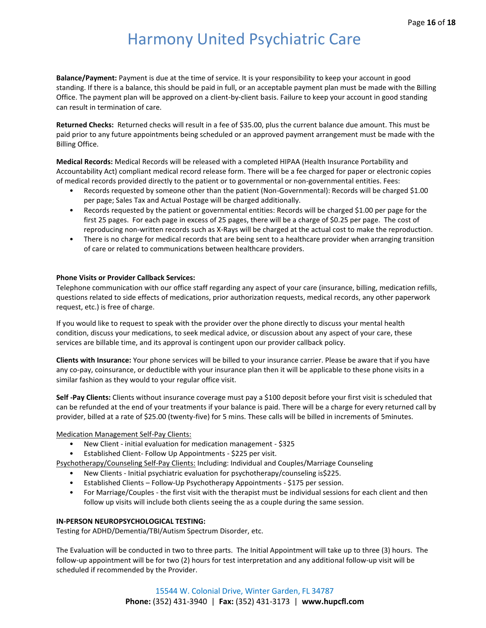**Balance/Payment:** Payment is due at the time of service. It is your responsibility to keep your account in good standing. If there is a balance, this should be paid in full, or an acceptable payment plan must be made with the Billing Office. The payment plan will be approved on a client-by-client basis. Failure to keep your account in good standing can result in termination of care.

**Returned Checks:** Returned checks will result in a fee of \$35.00, plus the current balance due amount. This must be paid prior to any future appointments being scheduled or an approved payment arrangement must be made with the Billing Office.

**Medical Records:** Medical Records will be released with a completed HIPAA (Health Insurance Portability and Accountability Act) compliant medical record release form. There will be a fee charged for paper or electronic copies of medical records provided directly to the patient or to governmental or non-governmental entities. Fees:

- Records requested by someone other than the patient (Non-Governmental): Records will be charged \$1.00 per page; Sales Tax and Actual Postage will be charged additionally.
- Records requested by the patient or governmental entities: Records will be charged \$1.00 per page for the first 25 pages. For each page in excess of 25 pages, there will be a charge of \$0.25 per page. The cost of reproducing non-written records such as X-Rays will be charged at the actual cost to make the reproduction.
- There is no charge for medical records that are being sent to a healthcare provider when arranging transition of care or related to communications between healthcare providers.

#### **Phone Visits or Provider Callback Services:**

Telephone communication with our office staff regarding any aspect of your care (insurance, billing, medication refills, questions related to side effects of medications, prior authorization requests, medical records, any other paperwork request, etc.) is free of charge.

If you would like to request to speak with the provider over the phone directly to discuss your mental health condition, discuss your medications, to seek medical advice, or discussion about any aspect of your care, these services are billable time, and its approval is contingent upon our provider callback policy.

**Clients with Insurance:** Your phone services will be billed to your insurance carrier. Please be aware that if you have any co-pay, coinsurance, or deductible with your insurance plan then it will be applicable to these phone visits in a similar fashion as they would to your regular office visit.

**Self -Pay Clients:** Clients without insurance coverage must pay a \$100 deposit before your first visit is scheduled that can be refunded at the end of your treatments if your balance is paid. There will be a charge for every returned call by provider, billed at a rate of \$25.00 (twenty-five) for 5 mins. These calls will be billed in increments of 5minutes.

Medication Management Self-Pay Clients:

- New Client initial evaluation for medication management \$325
- Established Client- Follow Up Appointments \$225 per visit.

Psychotherapy/Counseling Self-Pay Clients: Including: Individual and Couples/Marriage Counseling

- New Clients Initial psychiatric evaluation for psychotherapy/counseling is\$225.
- Established Clients Follow-Up Psychotherapy Appointments \$175 per session.
- For Marriage/Couples the first visit with the therapist must be individual sessions for each client and then follow up visits will include both clients seeing the as a couple during the same session.

#### **IN-PERSON NEUROPSYCHOLOGICAL TESTING:**

Testing for ADHD/Dementia/TBI/Autism Spectrum Disorder, etc.

The Evaluation will be conducted in two to three parts. The Initial Appointment will take up to three (3) hours. The follow-up appointment will be for two (2) hours for test interpretation and any additional follow-up visit will be scheduled if recommended by the Provider.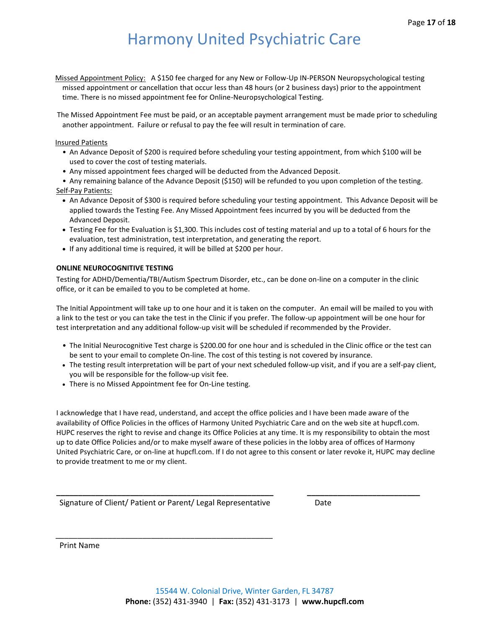Missed Appointment Policy: A \$150 fee charged for any New or Follow-Up IN-PERSON Neuropsychological testing missed appointment or cancellation that occur less than 48 hours (or 2 business days) prior to the appointment time. There is no missed appointment fee for Online-Neuropsychological Testing.

The Missed Appointment Fee must be paid, or an acceptable payment arrangement must be made prior to scheduling another appointment. Failure or refusal to pay the fee will result in termination of care.

#### Insured Patients

- An Advance Deposit of \$200 is required before scheduling your testing appointment, from which \$100 will be used to cover the cost of testing materials.
- Any missed appointment fees charged will be deducted from the Advanced Deposit.

• Any remaining balance of the Advance Deposit (\$150) will be refunded to you upon completion of the testing. Self-Pay Patients:

- An Advance Deposit of \$300 is required before scheduling your testing appointment. This Advance Deposit will be applied towards the Testing Fee. Any Missed Appointment fees incurred by you will be deducted from the Advanced Deposit.
- Testing Fee for the Evaluation is \$1,300. This includes cost of testing material and up to a total of 6 hours for the evaluation, test administration, test interpretation, and generating the report.
- If any additional time is required, it will be billed at \$200 per hour.

#### **ONLINE NEUROCOGNITIVE TESTING**

Testing for ADHD/Dementia/TBI/Autism Spectrum Disorder, etc., can be done on-line on a computer in the clinic office, or it can be emailed to you to be completed at home.

The Initial Appointment will take up to one hour and it is taken on the computer. An email will be mailed to you with a link to the test or you can take the test in the Clinic if you prefer. The follow-up appointment will be one hour for test interpretation and any additional follow-up visit will be scheduled if recommended by the Provider.

- The Initial Neurocognitive Test charge is \$200.00 for one hour and is scheduled in the Clinic office or the test can be sent to your email to complete On-line. The cost of this testing is not covered by insurance.
- The testing result interpretation will be part of your next scheduled follow-up visit, and if you are a self-pay client, you will be responsible for the follow-up visit fee.
- There is no Missed Appointment fee for On-Line testing.

I acknowledge that I have read, understand, and accept the office policies and I have been made aware of the availability of Office Policies in the offices of Harmony United Psychiatric Care and on the web site at hupcfl.com. HUPC reserves the right to revise and change its Office Policies at any time. It is my responsibility to obtain the most up to date Office Policies and/or to make myself aware of these policies in the lobby area of offices of Harmony United Psychiatric Care, or on-line at hupcfl.com. If I do not agree to this consent or later revoke it, HUPC may decline to provide treatment to me or my client.

**\_\_\_\_\_\_\_\_\_\_\_\_\_\_\_\_\_\_\_\_\_\_\_\_\_\_\_\_\_\_\_\_\_\_\_\_\_\_\_\_\_\_\_\_\_\_\_\_\_\_ \_\_\_\_\_\_\_\_\_\_\_\_\_\_\_\_\_\_\_\_\_\_\_\_\_\_**

Signature of Client/ Patient or Parent/ Legal Representative Date

\_\_\_\_\_\_\_\_\_\_\_\_\_\_\_\_\_\_\_\_\_\_\_\_\_\_\_\_\_\_\_\_\_\_\_\_\_\_\_\_\_\_\_\_\_\_\_\_\_\_

Print Name